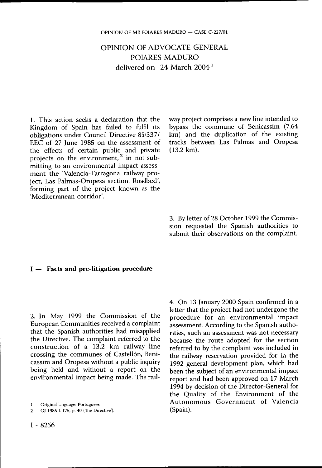## OPINION OF ADVOCATE GENERAL POIARES MADURO delivered on 24 March  $2004<sup>1</sup>$

1. This action seeks a declaration that the Kingdom of Spain has failed to fulfil its obligations under Council Directive 85/337/ EEC of 27 June 1985 on the assessment of the effects of certain public and private projects on the environment, $\frac{1}{2}$  in not submitting to an environmental impact assessment the 'Valencia-Tarragona railway project, Las Palmas-Oropesa section. Roadbed', forming part of the project known as the 'Mediterranean corridor'.

way project comprises a new line intended to bypass the commune of Benicassim (7.64 km) and the duplication of the existing tracks between Las Palmas and Oropesa (13.2 km).

3. By letter of 28 October 1999 the Commission requested the Spanish authorities to submit their observations on the complaint.

## **I** — **Facts and pre-litigation procedure**

2. In May 1999 the Commission of the European Communities received a complaint that the Spanish authorities had misapplied the Directive. The complaint referred to the construction of a 13.2 km railway line crossing the communes of Castellón, Benicassim and Oropesa without a public inquiry being held and without a report on the environmental impact being made. The rail-

1 — Original language: Portuguese.

2 — OJ 1985 L 175, p. 40 ('the Directive').

4. On 13 January 2000 Spain confirmed in a letter that the project had not undergone the procedure for an environmental impact assessment. According to the Spanish authorities, such an assessment was not necessary because the route adopted for the section referred to by the complaint was included in the railway reservation provided for in the 1992 general development plan, which had been the subject of an environmental impact report and had been approved on 17 March 1994 by decision of the Director-General for the Quality of the Environment of the Autonomous Government of Valencia (Spain).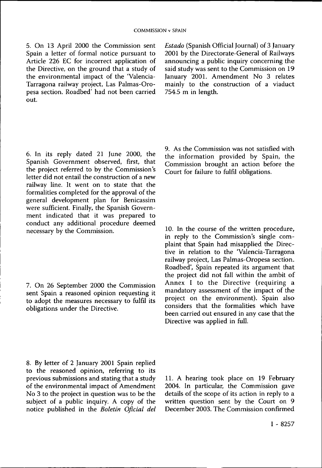5. On 13 April 2000 the Commission sent Spain a letter of formal notice pursuant to Article 226 EC for incorrect application of the Directive, on the ground that a study of the environmental impact of the 'Valencia-Tarragona railway project, Las Palmas-Oropesa section. Roadbed' had not been carried out.

*Estado* (Spanish Official Journal) of 3 January 2001 by the Directorate-General of Railways announcing a public inquiry concerning the said study was sent to the Commission on 19 January 2001. Amendment No 3 relates mainly to the construction of a viaduct  $754.5$  m in length.

6. In its reply dated 21 June 2000, the Spanish Government observed, first, that the project referred to by the Commission's letter did not entail the construction of a new railway line. It went on to state that the formalities completed for the approval of the general development plan for Benicassim were sufficient. Finally, the Spanish Government indicated that it was prepared to conduct any additional procedure deemed necessary by the Commission.

7. On 26 September 2000 the Commission sent Spain a reasoned opinion requesting it to adopt the measures necessary to fulfil its obligations under the Directive.

9. As the Commission was not satisfied with the information provided by Spain, the Commission brought an action before the Court for failure to fulfil obligations.

10. In the course of the written procedure, in reply to the Commission's single complaint that Spain had misapplied the Directive in relation to the 'Valencia-Tarragona railway project, Las Palmas-Oropesa section. Roadbed', Spain repeated its argument that the project did not fall within the ambit of Annex I to the Directive (requiring a mandatory assessment of the impact of the project on the environment). Spain also considers that the formalities which have been carried out ensured in any case that the Directive was applied in full.

8. By letter of 2 January 2001 Spain replied to the reasoned opinion, referring to its previous submissions and stating that a study of the environmental impact of Amendment No 3 to the project in question was to be the subject of a public inquiry. A copy of the notice published in the *Boletín Oficial del* 

11. A hearing took place on 19 February 2004. In particular, the Commission gave details of the scope of its action in reply to a written question sent by the Court on 9 December 2003. The Commission confirmed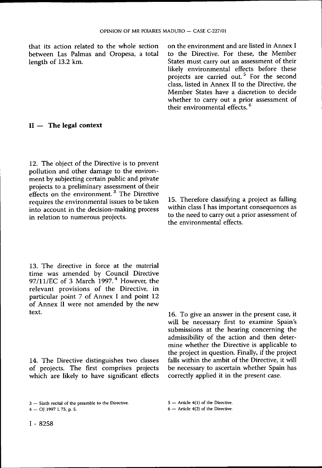that its action related to the whole section between Las Palmas and Oropesa, a total length of 13.2 km.

on the environment and are listed in Annex I to the Directive. For these, the Member States must carry out an assessment of their likely environmental effects before these projects are carried out.<sup>5</sup> For the second class, listed in Annex II to the Directive, the Member States have a discretion to decide whether to carry out a prior assessment of their environmental effects. 6

## **II** — **The legal context**

12. The object of the Directive is to prevent pollution and other damage to the environment by subjecting certain public and private projects to a preliminary assessment of their effects on the environment.<sup>3</sup> The Directive requires the environmental issues to be taken into account in the decision-making process in relation to numerous projects.

13. The directive in force at the material time was amended by Council Directive 97/11/EC of 3 March 1997. 4 However, the relevant provisions of the Directive, in particular point 7 of Annex I and point 12 of Annex II were not amended by the new text.

14. The Directive distinguishes two classes of projects. The first comprises projects which are likely to have significant effects 15. Therefore classifying a project as falling within class I has important consequences as to the need to carry out a prior assessment of the environmental effects.

16. To give an answer in the present case, it will be necessary first to examine Spain's submissions at the hearing concerning the admissibility of the action and then determine whether the Directive is applicable to the project in question. Finally, if the project falls within the ambit of the Directive, it will be necessary to ascertain whether Spain has correctly applied it in the present case.

<sup>3 —</sup> Sixth recital of the preamble to the Directive.

<sup>4 —</sup> OJ 1997 L 73, p. 5.

<sup>5 —</sup> Article 4(1) of the Directive.

<sup>6 —</sup> Article 4(2) of the Directive.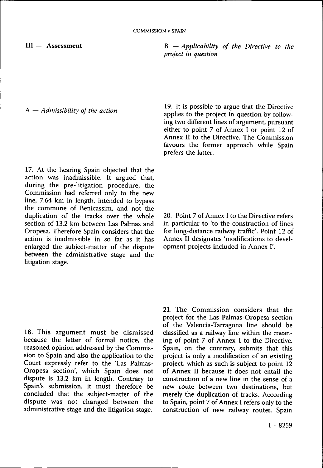III — Assessment

B — *Applicability of the Directive to the project in question* 

A — *Admissibility of the action* 

17. At the hearing Spain objected that the action was inadmissible. It argued that, during the pre-litigation procedure, the Commission had referred only to the new line, 7.64 km in length, intended to bypass the commune of Benicassim, and not the duplication of the tracks over the whole section of 13.2 km between Las Palmas and Oropesa. Therefore Spain considers that the action is inadmissible in so far as it has enlarged the subject-matter of the dispute between the administrative stage and the litigation stage.

19. It is possible to argue that the Directive applies to the project in question by following two different lines of argument, pursuant either to point 7 of Annex I or point 12 of Annex II to the Directive. The Commission favours the former approach while Spain prefers the latter.

20. Point 7 of Annex I to the Directive refers in particular to 'to the construction of lines for long-distance railway traffic'. Point 12 of Annex II designates 'modifications to development projects included in Annex I'.

18. This argument must be dismissed because the letter of formal notice, the reasoned opinion addressed by the Commission to Spain and also the application to the Court expressly refer to the 'Las Palmas-Oropesa section', which Spain does not dispute is 13.2 km in length. Contrary to Spain's submission, it must therefore be concluded that the subject-matter of the dispute was not changed between the administrative stage and the litigation stage.

21. The Commission considers that the project for the Las Palmas-Oropesa section of the Valencia-Tarragona line should be classified as a railway line within the meaning of point 7 of Annex I to the Directive. Spain, on the contrary, submits that this project is only a modification of an existing project, which as such is subject to point 12 of Annex II because it does not entail the construction of a new line in the sense of a new route between two destinations, but merely the duplication of tracks. According to Spain, point 7 of Annex I refers only to the construction of new railway routes. Spain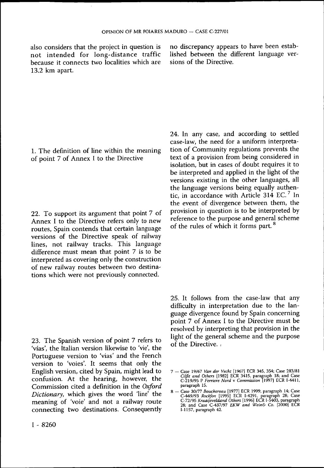also considers that the project in question is not intended for long-distance traffic because it connects two localities which are 13.2 km apart.

no discrepancy appears to have been established between the different language versions of the Directive.

1. The definition of line within the meaning of point 7 of Annex I to the Directive

22. To support its argument that point 7 of Annex I to the Directive refers only to new routes, Spain contends that certain language versions of the Directive speak of railway lines, not railway tracks. This language difference must mean that point 7 is to be interpreted as covering only the construction of new railway routes between two destinations which were not previously connected.

23. The Spanish version of point 7 refers to 'vías', the Italian version likewise to 'vie', the Portuguese version to 'vias' and the French version to 'voies'. It seems that only the English version, cited by Spain, might lead to confusion. At the hearing, however, the Commission cited a definition in the *Oxford Dictionary,* which gives the word 'line' the meaning of 'voie' and not a railway route connecting two destinations. Consequently

24. In any case, and according to settled case-law, the need for a uniform interpretation of Community regulations prevents the text of a provision from being considered in isolation, but in cases of doubt requires it to be interpreted and applied in the light of the versions existing in the other languages, all the language versions being equally authentic, in accordance with Article 314 EC. <sup>7</sup> In the event of divergence between them, the provision in question is to be interpreted by reference to the purpose and general scheme of the rules of which it forms part.<sup>8</sup>

25. It follows from the case-law that any difficulty in interpretation due to the language divergence found by Spain concerning point 7 of Annex I to the Directive must be resolved by interpreting that provision in the light of the general scheme and the purpose of the Directive.

*<sup>7</sup>* — Case 19/67 *Van der Vecht* [1967) ECR 345, 354; Case 283/81 *Cilfit and Others* [1982] ECR 3415, paragraph 18; and Case C-219/95 P *Ferriere Nord* v *Commission* [1997] ECR I-4411, paragraph 15.

<sup>8 -</sup> Case 30/77 Bouchereau [1977] ECR 1999, paragraph 14; Case<br>C-449/93 *Rockfon* [1995] ECR 1-4291, paragraph 28; Case<br>C-72/95 *Kraaijeveldand Others* [1996] ECR 1-5403, paragraph<br>28; and Case C-437/97 *EKW and Wein& Co.* I-1157, paragraph 42.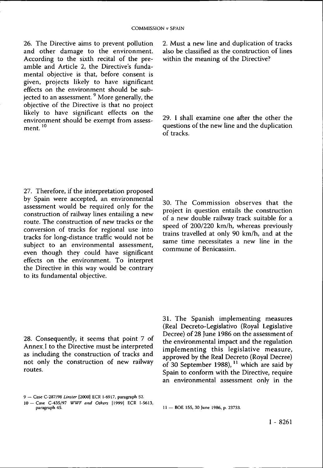26. The Directive aims to prevent pollution and other damage to the environment. According to the sixth recital of the preamble and Article 2, the Directive's fundamental objective is that, before consent is given, projects likely to have significant effects on the environment should be subiected to an assessment.  $9^9$  More generally, the objective of the Directive is that no project likely to have significant effects on the environment should be exempt from assessment. <sup>10</sup>

2. Must a new line and duplication of tracks also be classified as the construction of lines within the meaning of the Directive?

29. I shall examine one after the other the questions of the new line and the duplication of tracks.

27. Therefore, if the interpretation proposed by Spain were accepted, an environmental assessment would be required only for the construction of railway lines entailing a new route. The construction of new tracks or the conversion of tracks for regional use into tracks for long-distance traffic would not be subject to an environmental assessment, even though they could have significant effects on the environment. To interpret the Directive in this way would be contrary to its fundamental objective.

28. Consequently, it seems that point 7 of Annex. I to the Directive must be interpreted as including the construction of tracks and not only the construction of new railway routes.

30. The Commission observes that the project in question entails the construction of a new double railway track suitable for a speed of 200/220 km/h, whereas previously trains travelled at only 90 km/h, and at the same time necessitates a new line in the commune of Benicassim.

31. The Spanish implementing measures (Real Decreto-Legislativo (Royal Legislative Decree) of 28 June 1986 on the assessment of the environmental impact and the regulation implementing this legislative measure, approved by the Real Decreto (Royal Decree) of 30 September 1988),  $11$  which are said by Spain to conform with the Directive, require an environmental assessment only in the

<sup>9 —</sup> Case C-287/98 *Linster* [2000] ECR I-6917, paragraph 52.

<sup>10 —</sup> Case C-435/97 *WWF and Others* [1999] ECR I-5613,

<sup>11 —</sup> BOE 155, 30 June 1986, p. 23733.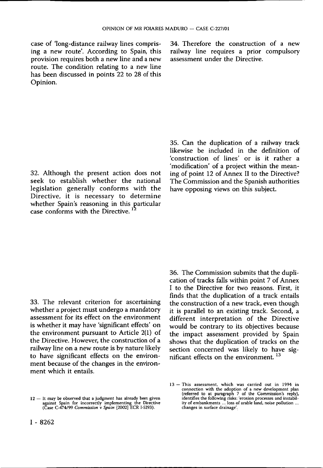case of 'long-distance railway lines comprising a new route'. According to Spain, this provision requires both a new line and a new route. The condition relating to a new line has been discussed in points 22 to 28 of this Opinion.

34. Therefore the construction of a new railway line requires a prior compulsory assessment under the Directive.

32. Although the present action does not seek to establish whether the national legislation generally conforms with the Directive, it is necessary to determine whether Spain's reasoning in this particular case conforms with the Directive.<sup>12</sup>

35. Can the duplication of a railway track likewise be included in the definition of 'construction of lines' or is it rather a 'modification' of a project within the meaning of point 12 of Annex II to the Directive? The Commission and the Spanish authorities have opposing views on this subject.

33. The relevant criterion for ascertaining whether a project must undergo a mandatory assessment for its effect on the environment is whether it may have 'significant effects' on the environment pursuant to Article 2(1) of the Directive. However, the construction of a railway line on a new route is by nature likely to have significant effects on the environment because of the changes in the environment which it entails.

36. The Commission submits that the duplication of tracks falls within point 7 of Annex I to the Directive for two reasons. First, it finds that the duplication of a track entails the construction of a new track, even though it is parallel to an existing track. Second, a different interpretation of the Directive would be contrary to its objectives because the impact assessment provided by Spain shows that the duplication of tracks on the section concerned was likely to have significant effects on the environment.<sup>13</sup>

<sup>12 —</sup> It may be observed that a judgment has already been given against Spain for incorrectly implementing the Directive (Case C-474/99 *Commission* v *Spain* [2002] ECR I-5293).

<sup>13 –</sup> This assessment, which was carried out in 1994 in connection with the adoption of a new development plan (referred to at paragraph 7 of the Commission's reply), identifies the following risks: 'erosion processes and changes in surface drainage'.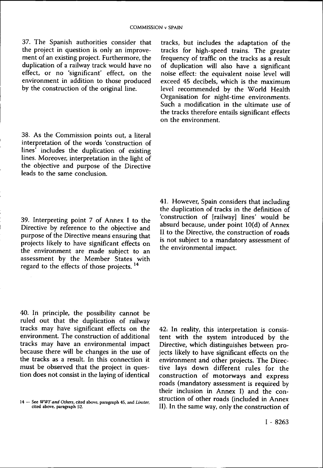37. The Spanish authorities consider that the project in question is only an improvement of an existing project. Furthermore, the duplication of a railway track would have no effect, or no 'significant' effect, on the environment in addition to those produced by the construction of the original line.

38. As the Commission points out, a literal interpretation of the words 'construction of lines' includes the duplication of existing lines. Moreover, interpretation in the light of the objective and purpose of the Directive leads to the same conclusion.

39. Interpreting point 7 of Annex I to the Directive by reference to the objective and purpose of the Directive means ensuring that projects likely to have significant effects on the environment are made subject to an assessment by the Member States with regard to the effects of those projects.<sup>14</sup>

40. In principle, the possibility cannot be ruled out that the duplication of railway tracks may have significant effects on the environment. The construction of additional tracks may have an environmental impact because there will be changes in the use of the tracks as a result. In this connection it must be observed that the project in question does not consist in the laying of identical

tracks, but includes the adaptation of the tracks for high-speed trains. The greater frequency of traffic on the tracks as a result of duplication will also have a significant noise effect: the equivalent noise level will exceed 45 decibels, which is the maximum level recommended by the World Health Organisation for night-time environments. Such a modification in the ultimate use of the tracks therefore entails significant effects on the environment.

41. However, Spain considers that including the duplication of tracks in the definition of 'construction of [railway] lines' would be absurd because, under point 10(d) of Annex II to the Directive, the construction of roads is riot subject to a mandatory assessment of the environmental impact.

42; In reality, this interpretation is consistent with the system introduced by the Directive, which distinguishes between projects likely to have significant effects on the environment and other projects: The Directive lays down different rules for the construction of motorways and express roads (mandatory assessment is required by their inclusion in Annex I) and the construction of other roads (included in Annex II). In the same way, only the construction of 14 — See *WWF and Others,* cited above, paragraph 45, and *Linster,* 

cited above, paragraph 52.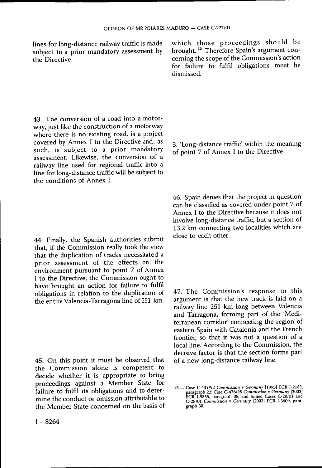lines for long-distance railway traffic is made subject to a prior mandatory assessment by the Directive.

43. The conversion of a road into a motorway, just like the construction of a motorway where there is no existing road, is a project covered by Annex I to the Directive and, as such, is subject to a prior mandatory assessment. Likewise, the conversion of a railway line used for regional traffic into a line for long-distance traffic will be subject to the conditions of Annex I.

44. Finally, the Spanish authorities submit that, if the Commission really took the view that the duplication of tracks necessitated a prior assessment of the effects on the environment pursuant to point 7 of Annex I to the Directive, the Commission ought to have brought an action for failure to fulfil obligations in relation to the duplication of the entire Valencia-Tarragona line of 251 km.

45. On this point it must be observed that the Commission alone is competent to decide whether it is appropriate to bring proceedings against a Member State for failure to fulfil its obligations and to determine the conduct or omission attributable to the Member State concerned on the basis of which those proceedings should be brought. <sup>15</sup> Therefore Spain's argument concerning the scope of the Commission's action for failure to fulfil obligations must be dismissed.

3. 'Long-distance traffic' within the meaning of point 7 of Annex I to the Directive

46. Spain denies that the project in question can be classified as covered under point 7 of Annex I to the Directive because it does not involve long-distance traffic, but a section of 13.2 km connecting two localities which are close to each other.

47. The Commission's response to this argument is that the new track is laid on a railway line 251 km long between Valencia and Tarragona, forming part of the 'Mediterranean corridor' connecting the region of eastern Spain with Catalonia and the French frontier, so that it was not a question of a local line. According to the Commission, the decisive factor is that the section forms part of a new long-distance railway line.

<sup>15 -</sup> Case C-431/92 *Commission* v *Germany* [1995] ECR I-2189, paragraph 22; Case C-476/98 *Commission* v *Germany* [2002] ECR I-9855, paragraph 38; and Joined Cases C-20/01 and C-28/01 *Commission* v *Germany* [2003] ECR I-3609, paragraph 30.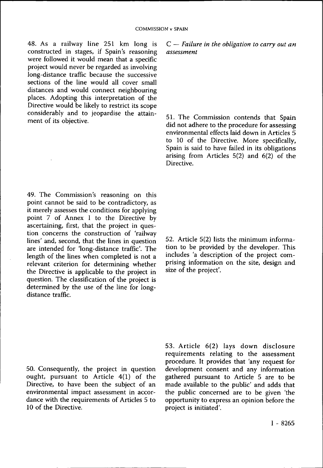48. As a railway line 251 km long is constructed in stages, if Spain's reasoning were followed it would mean that a specific project would never be regarded as involving long-distance traffic because the successive sections of the line would all cover small distances and would connect neighbouring places. Adopting this interpretation of the Directive would be likely to restrict its scope considerably and to jeopardise the attainment of its objective.

49. The Commission's reasoning on this point cannot be said to be contradictory, as it merely assesses the conditions for applying point 7 of Annex I to the Directive by ascertaining, first, that the project in question concerns the construction of 'railway lines' and, second, that the lines in question are intended for 'long-distance traffic'. The length of the lines when completed is not a relevant criterion for determining whether the Directive is applicable to the project in question. The classification of the project is determined by the use of the line for longdistance traffic.

50. Consequently, the project in question ought, pursuant to Article 4(1) of the Directive, to have been the subject of an environmental impact assessment in accordance with the requirements of Articles 5 to 10 of the Directive.

C — *Failure in the obligation to carry out an assessment* 

51. The Commission contends that Spain did not adhere to the procedure for assessing environmental effects laid down in Articles 5 to 10 of the Directive. More specifically, Spain is said to have failed in its obligations arising from Articles  $5(2)$  and  $6(2)$  of the Directive.

52. Article 5(2) lists the minimum information to be provided by the developer. This includes 'a description of the project comprising information on the site, design and size of the project'.

53. Article 6(2) lays down disclosure requirements relating to the assessment procedure. It provides that 'any request for development consent and any information gathered pursuant to Article 5 are to be made available to the public' and adds that the public concerned are to be given 'the opportunity to express an opinion before the project is initiated'.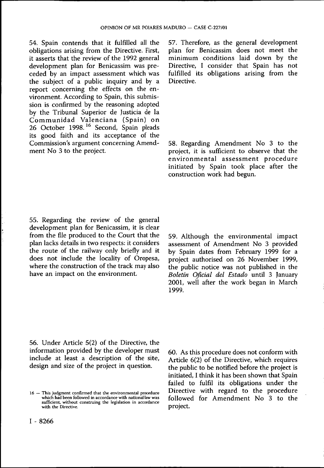54. Spain contends that it fulfilled all the obligations arising from the Directive. First, it asserts that the review of the 1992 general development plan for Benicassim was preceded by an impact assessment which was the subject of a public inquiry and by a report concerning the effects on the environment. According to Spain, this submission is confirmed by the reasoning adopted by the Tribunal Superior de Justicia de la Communidad Valenciana (Spain) on 26 October 1998.<sup>16</sup> Second, Spain pleads its good faith and its acceptance of the Commission's argument concerning Amendment No 3 to the project.

57. Therefore, as the general development plan for Benicassim does not meet the minimum conditions laid down by the Directive, I consider that Spain has not fulfilled its obligations arising from the Directive.

58. Regarding Amendment No 3 to the project, it is sufficient to observe that the environmental assessment procedure initiated by Spain took place after the construction work had begun.

55. Regarding the review of the general development plan for Benicassim, it is clear from the file produced to the Court that the plan lacks details in two respects: it considers the route of the railway only briefly and it does not include the locality of Oropesa, where the construction of the track may also have an impact on the environment.

59. Although the environmental impact assessment of Amendment No 3 provided by Spain dates from February 1999 for a project authorised on 26 November 1999, the public notice was not published in the *Boletín Oficial del Estado* until 3 January 2001, well after the work began in March 1999.

56. Under Article 5(2) of the Directive, the information provided by the developer must include at least a description of the site, design and size of the project in question.

60. As this procedure does not conform with Article 6(2) of the Directive, which requires the public to be notified before the project is initiated, I think it has been shown that Spain failed to fulfil its obligations under the Directive with regard to the procedure followed for Amendment No 3 to the project.

<sup>16 —</sup> This judgment confirmed that the environmental procedure which had been followed in accordance with national law was sufficient, without construing the legislation in accordance with the Directive.